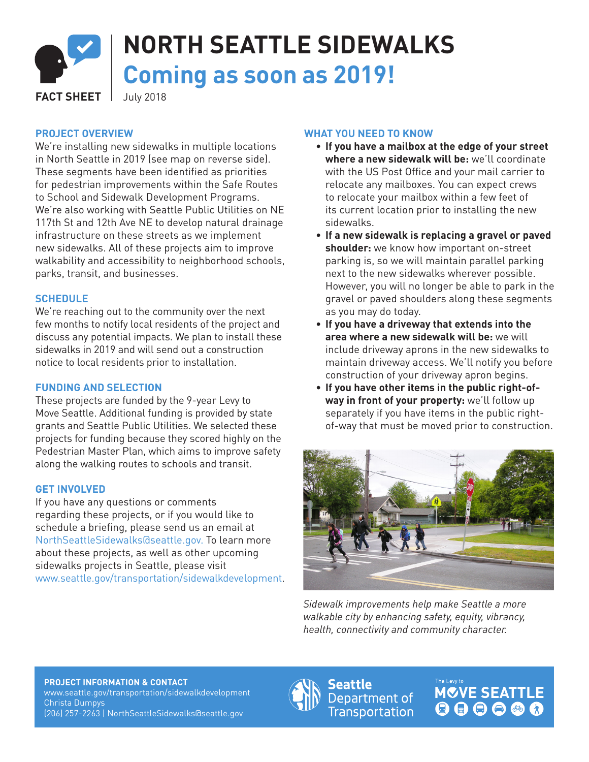

# **NORTH SEATTLE SIDEWALKS Coming as soon as 2019!**

**FACT SHEET** July 2018

## **PROJECT OVERVIEW**

We're installing new sidewalks in multiple locations in North Seattle in 2019 (see map on reverse side). These segments have been identified as priorities for pedestrian improvements within the Safe Routes to School and Sidewalk Development Programs. We're also working with Seattle Public Utilities on NE 117th St and 12th Ave NE to develop natural drainage infrastructure on these streets as we implement new sidewalks. All of these projects aim to improve walkability and accessibility to neighborhood schools, parks, transit, and businesses.

#### **SCHEDULE**

We're reaching out to the community over the next few months to notify local residents of the project and discuss any potential impacts. We plan to install these sidewalks in 2019 and will send out a construction notice to local residents prior to installation.

#### **FUNDING AND SELECTION**

These projects are funded by the 9-year Levy to Move Seattle. Additional funding is provided by state grants and Seattle Public Utilities. We selected these projects for funding because they scored highly on the Pedestrian Master Plan, which aims to improve safety along the walking routes to schools and transit.

#### **GET INVOLVED**

If you have any questions or comments regarding these projects, or if you would like to schedule a briefing, please send us an email at NorthSeattleSidewalks@seattle.gov. To learn more about these projects, as well as other upcoming sidewalks projects in Seattle, please visit www.seattle.gov/transportation/sidewalkdevelopment.

## **WHAT YOU NEED TO KNOW**

- ∙ **If you have a mailbox at the edge of your street where a new sidewalk will be:** we'll coordinate with the US Post Office and your mail carrier to relocate any mailboxes. You can expect crews to relocate your mailbox within a few feet of its current location prior to installing the new sidewalks.
- ∙ **If a new sidewalk is replacing a gravel or paved shoulder:** we know how important on-street parking is, so we will maintain parallel parking next to the new sidewalks wherever possible. However, you will no longer be able to park in the gravel or paved shoulders along these segments as you may do today.
- ∙ **If you have a driveway that extends into the area where a new sidewalk will be:** we will include driveway aprons in the new sidewalks to maintain driveway access. We'll notify you before construction of your driveway apron begins.
- ∙ **If you have other items in the public right-ofway in front of your property:** we'll follow up separately if you have items in the public rightof-way that must be moved prior to construction.



*Sidewalk improvements help make Seattle a more walkable city by enhancing safety, equity, vibrancy, health, connectivity and community character.*

**PROJECT INFORMATION & CONTACT** www.seattle.gov/transportation/sidewalkdevelopment Christa Dumpys (206) 257-2263 | NorthSeattleSidewalks@seattle.gov



Seattle Department of **Transportation**  **MOVE SEATTLE**  $000000$